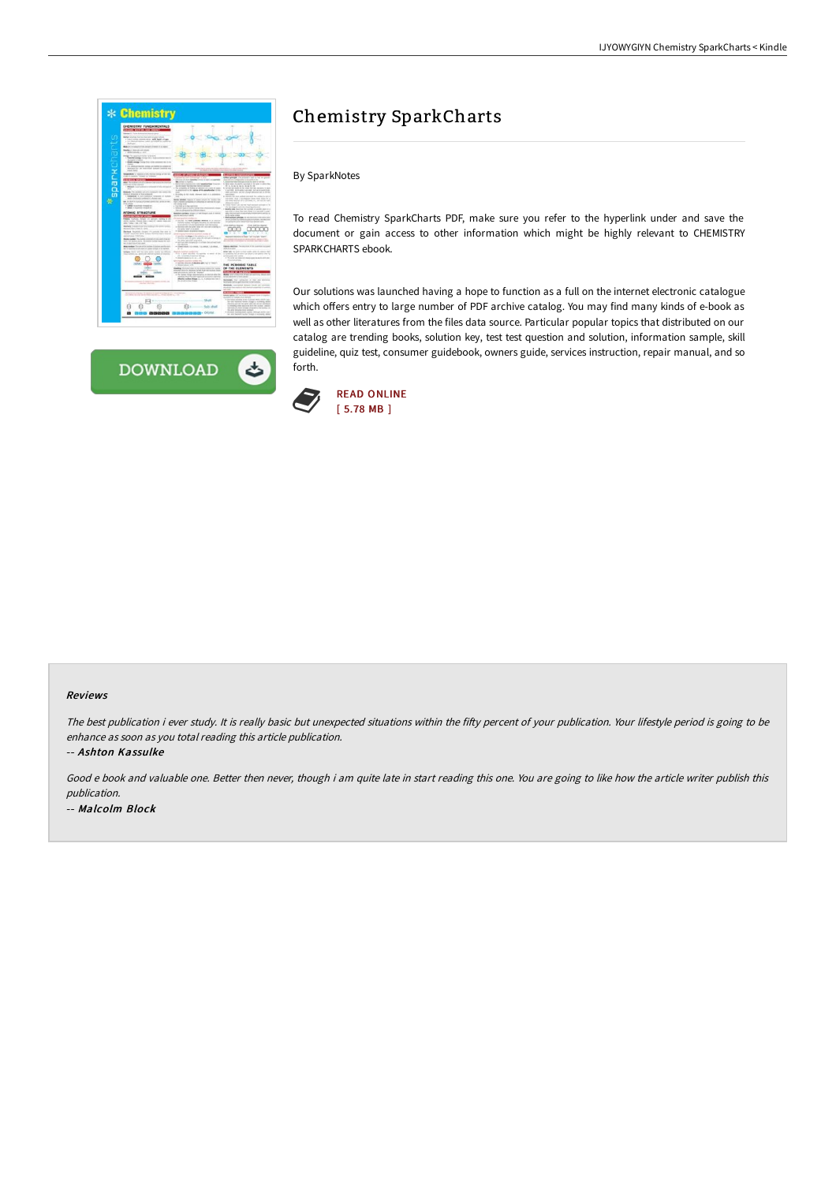| CHEMISTEY FUNDAMENTALS<br><b>SOLUTE MOTTER AND EMOREY</b>                                                                                                                         | $\sim$                                                                                                                                                    | $\sim$                                                                                                                    |
|-----------------------------------------------------------------------------------------------------------------------------------------------------------------------------------|-----------------------------------------------------------------------------------------------------------------------------------------------------------|---------------------------------------------------------------------------------------------------------------------------|
| <b>Research Form Announced Arizon Advis-</b>                                                                                                                                      |                                                                                                                                                           |                                                                                                                           |
| <b>Network and the first line from and outside the first</b><br>I have a since connect more, and bank of any<br>is a chief of moral cash (at what to contact on<br><b>Android</b> |                                                                                                                                                           |                                                                                                                           |
| Results in present of the street of texts in a regar.                                                                                                                             |                                                                                                                                                           |                                                                                                                           |
| Malley or Astrody with climate<br>4 Millenwood y - Inn                                                                                                                            |                                                                                                                                                           |                                                                                                                           |
| wige The capacity of dustry to be work<br>1 Federal Annapolis Corp. Col. 1 State Annapolis and Co.<br>Scott of All Antonio                                                        |                                                                                                                                                           |                                                                                                                           |
| 4. Mount: primage Tribride Print a trivial standards that the fac-                                                                                                                | ٠<br>٠                                                                                                                                                    | a c                                                                                                                       |
| 4. In a distributionary de central con nature the conduction<br>description and description between control and<br><b><i>Installation</i></b>                                     |                                                                                                                                                           |                                                                                                                           |
| <b>Brandon</b> y room it in home what it he set<br>CORN CANNON TRANSPORT IN COMMON                                                                                                |                                                                                                                                                           | than provide. The stationers and                                                                                          |
| <b>SAL SPICER</b>                                                                                                                                                                 | Determined with a parties of the co-bally and applica-<br><b>Box controls in the A.L.</b>                                                                 | to the six process<br>also contractados of acusto as we<br>department from sizes after firms this much at the first       |
| Map To cald by only a cheese hat some in them.<br><b>STARTED FOR STORY</b>                                                                                                        | <b>Extraordist more known had a sendendials</b> that one<br>to the books flow startility declared definers.                                               | \$1.5000 share the starts cut-shall in the wide is addressed<br>W. O. M. In the far the disk by the state                 |
| 1. Manager & Associated                                                                                                                                                           | The pollution of Scales of Advance of a local A money<br>is accompany to the register of the extractation of the                                          | ×.<br>refine adverse a little way. Fulled associate in lash-<br>I ack with the N parts a policient that we re-days if you |
| Britanda Tra cristinis urb of a internet of the critics the<br>shellers designing of the restaurant                                                                               | -<br>Butches & for state, streets last & a common                                                                                                         | steel and there are not planar electric rat or de les                                                                     |
| 1. Famous at Auto Indicated response of Automo-<br>make the books between a homes well.                                                                                           | <b>Service</b>                                                                                                                                            | <b>Contractor and product for entanglement</b>                                                                            |
| the first state is a strong of the state day of the first state of the                                                                                                            | dealer artistics reserve of data project the technic but<br>Kell charges problems in collecting at detroit in crian                                       | <b>Women's Furnished</b>                                                                                                  |
| <b>STATISTICS</b><br>A GARAGE IN GALLERIES COMMAND AND<br>. Area 4 Second travel in                                                                                               | the company with<br>has been with the company                                                                                                             | \$1,000 to half to hall and the fract concept antiques or let<br>the late. Shall said and the constitution approach-      |
|                                                                                                                                                                                   | <b>SPRINT GALLERY/ALTIMATED FALL PARADENTS FORM</b><br>The are diversion to interest since.                                                               | a decade sub, resulting the symple of provinciation in a<br>and state, or states what now policy of a symphotic is more   |
| <b>ATOMIC STRUCTURE</b><br><b><i>CONTRACTOR OF ACTIONS</i></b>                                                                                                                    | Supplies Autoback Integer of the Ample and All debt<br>and the same foreign of catalog.                                                                   | and which are to the about the settlement and the or-                                                                     |
| <b>RAAVEL (Angle vil) up</b><br><b>Contract</b>                                                                                                                                   |                                                                                                                                                           | 1. Plasti and sale greeken in your controls in the care time.<br>A straightful shall shall a straight the background      |
| and the regional of the contract of the contract and contract of<br>anty Toda + Let L & Tap                                                                                       | I SAVIO TO ANY AVAILABLE MINAR IT IS WITH<br>that was made the right result of the mainless                                                               | an agent for rather street that they distributed                                                                          |
| Markets Cheapon cytony militia in the state nation.<br>Wednesday Joseph Falsey                                                                                                    | is the rates both the scient rates of it into any or develop to<br><b>Bangley Telefit of an excel</b>                                                     | Children and Samuel State<br>2 lot extincingly<br>w                                                                       |
| Markets Angeleits closed Chrysleries (Inc. 600) 2-                                                                                                                                | In the probably business and an expectation including the                                                                                                 | $\mathbf{B}$<br><b>STATISTICS</b><br>×                                                                                    |
| and the 7 foot are                                                                                                                                                                | I have an active management to make its<br>it statement on attages of the selection of A 2 mon-<br>. The cross with the care take of I and pat in because | harmon mobile as floor full in Jose Wart?                                                                                 |
| Sealer models. The holds attended on a look of a a<br>lease, that results about a discussions manifest traces into each                                                           | the bank first single state and                                                                                                                           |                                                                                                                           |
| ad American Aves Asia<br>But to the Nova Africa the States Link and                                                                                                               | A Suite Lat 2404 company (R ). 5 singles that you built hand.<br><b>CALL CALL</b><br>· Alliand today), A is crossed. The company of planshood.            | Silence Alertons, The process in the countries in country                                                                 |
| by it to enter the streets added to a procedure to the dealer                                                                                                                     | $-$                                                                                                                                                       | <b><i>Auto do services</i></b>                                                                                            |
| belight think and he sales autor notice to African<br>when numbered that a stated with addressed marked out the decision                                                          | <b><i><u><u><b>ALCO</b></u></u></i> CARDINAL</b><br>First A poer nations the basiline on most of the                                                      | Brian ands. At work is clear scale what the entrate start<br>a complete for an alone can always a lot address alone by    |
|                                                                                                                                                                                   | (if - 1 wings a) emined almost<br>4 Janet Gent & Ave. 4 - 4                                                                                               | <b>A CONTRACTOR CONTRACTOR</b><br>4. The partial court determined shows the determination result.                         |
|                                                                                                                                                                                   | New York Company of the Company of the American Product<br>a legislate discuss of discover spin for the financial                                         | thing to it will late.                                                                                                    |
|                                                                                                                                                                                   | February assessed to<br>Engine Colors control by suite entering to                                                                                        | THE PERIODIC TABLE<br>OF THE ELEMENTS                                                                                     |
| <b>Hilter</b>                                                                                                                                                                     | after the lates for interfaces by the later the registed from<br>A ball administration and had but best future about                                      | <b>FRANCISCO OF ELEMENTS</b>                                                                                              |
|                                                                                                                                                                                   | a the furner things channel on to channel after the<br>providings should a participate topics their application company for                               | A All Mid-Anti-Ant<br>take all strategies and and company                                                                 |
|                                                                                                                                                                                   | affective modern shinger (i.e. it is a statement detect)<br>the project partners through                                                                  | between the articles of the are percent                                                                                   |
| -                                                                                                                                                                                 |                                                                                                                                                           | Microsoft Service And Microsoft School And Art<br>Address contracts below tools on allevian                               |
|                                                                                                                                                                                   |                                                                                                                                                           | ally shown than washing that dealership advances in business                                                              |
|                                                                                                                                                                                   |                                                                                                                                                           |                                                                                                                           |
|                                                                                                                                                                                   |                                                                                                                                                           | <b>bloom radius</b> may<br>to actual a company of a second-                                                               |
| h.                                                                                                                                                                                | Shield L.                                                                                                                                                 | a device to be able a track a series and a series that<br>to be more near right a scores, since                           |
|                                                                                                                                                                                   | Scio-shall                                                                                                                                                | players and with the author what the net collections<br>to relating only similarly held the cartinal emission             |
|                                                                                                                                                                                   |                                                                                                                                                           | standards and more strongly privated and the homings of<br>the Ann Grunner rices between                                  |
| <b>CROSSORO CO</b>                                                                                                                                                                | $-$ Odatal                                                                                                                                                | I decided contraction state a select distinguished com-<br>the will finance business placed at partnership about          |



## Chemistry SparkCharts

By SparkNotes

To read Chemistry SparkCharts PDF, make sure you refer to the hyperlink under and save the document or gain access to other information which might be highly relevant to CHEMISTRY SPARKCHARTS ebook.

Our solutions was launched having a hope to function as a full on the internet electronic catalogue which offers entry to large number of PDF archive catalog. You may find many kinds of e-book as well as other literatures from the files data source. Particular popular topics that distributed on our catalog are trending books, solution key, test test question and solution, information sample, skill guideline, quiz test, consumer guidebook, owners guide, services instruction, repair manual, and so forth.



## Reviews

The best publication i ever study. It is really basic but unexpected situations within the fifty percent of your publication. Your lifestyle period is going to be enhance as soon as you total reading this article publication.

-- Ashton Kassulke

Good <sup>e</sup> book and valuable one. Better then never, though i am quite late in start reading this one. You are going to like how the article writer publish this publication. -- Malcolm Block